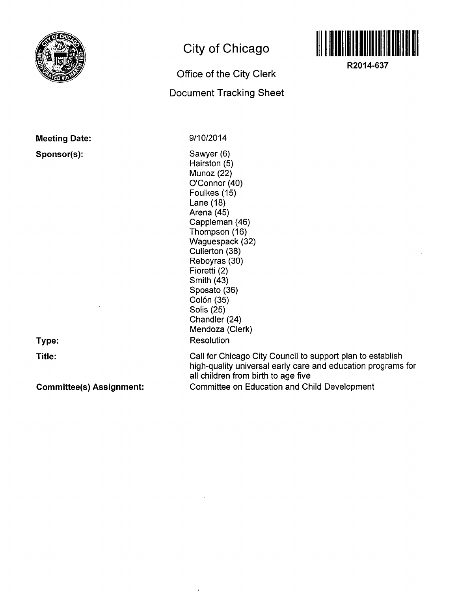

**Meeting Date:** 

**Sponsor(s):** 

**City of Chicago** 

## **Office of the City Clerk Document Tracking Sheet**



**R2014-637** 

9/10/2014

Sawyer (6) Hairston (5) Munoz (22) O'Connor (40) Foulkes (15) Lane (18) Arena (45) Cappleman (46) Thompson (16) Waguespack (32) Cullerton (38) Reboyras (30) Fioretti (2) Smith (43) Sposato (36) Colón (35) Solis (25) Chandler (24) Mendoza (Clerk) **Resolution** 

**Type:** 

**Title:** 

**Committee(s) Assignment:** 

Call for Chicago City Council to support plan to establish high-quality universal early care and education programs for all children from birth to age five

Committee on Education and Child Development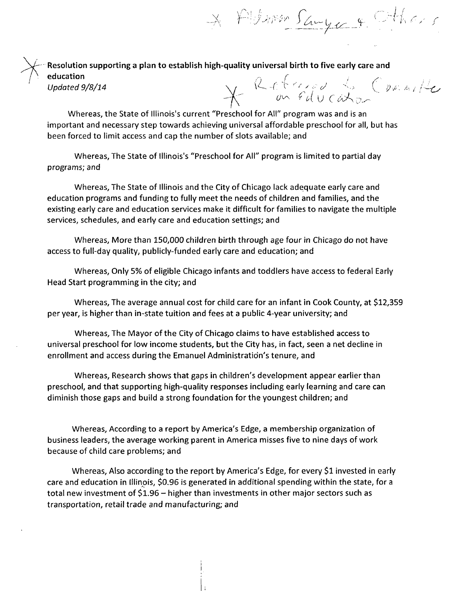\* Alleman Sange & Cthers

**Resolution supporting a plan to establish high-quality universal birth to five early care and**  education , , /' , .y-Updated 9/8/14  $\sqrt{1 - \sqrt{2 \cdot 2 \cdot 2^2}}$  .  $\sqrt{2 \cdot 2 \cdot 2 \cdot 2^2}$  . As an interval in  $\sqrt{2 \cdot 2 \cdot 2 \cdot 2^2}$ 

Whereas, the State of lllinois's current "Preschool for All" program was and is an important and necessary step towards achieving universal affordable preschool for all, but has been forced to limit access and cap the number of slots available; and

Whereas, The State of lllinois's "Preschool for All" program is limited to partial day programs; and

Whereas, The State of Illinois and the City of Chicago lack adequate early care and education programs and funding to fully meet the needs of children and families, and the existing early care and education services make it difficult for families to navigate the multiple services, schedules, and early care and education settings; and

Whereas, More than 150,000 children birth through age four in Chicago do not have access to full-day quality, publicly-funded early care and education; and

Whereas, Only 5% of eligible Chicago infants and toddlers have access to federal Early Head Start programming in the city; and

Whereas, The average annual cost for child care for an infant in Cook County, at \$12,359 per year, is higher than in-state tuition and fees at a public 4-year university; and

Whereas, The Mayor of the City of Chicago claims to have established access to universal preschool for low income students, but the City has, in fact, seen a net decline in enrollment and access during the Emanuel Administration's tenure, and

Whereas, Research shows that gaps in children's development appear earlier than preschool, and that supporting high-quality responses including early learning and care can diminish those gaps and build a strong foundation for the youngest children; and

Whereas, According to a report by America's Edge, a membership organization of business leaders, the average working parent in America misses five to nine days of work because of child care problems; and

Whereas, Also according to the report by America's Edge, for every \$1 invested in early care and education in Illinois, \$0.96 is generated in additional spending within the state, for a total new investment of \$1.96 - higher than investments in other major sectors such as transportation, retail trade and manufacturing; and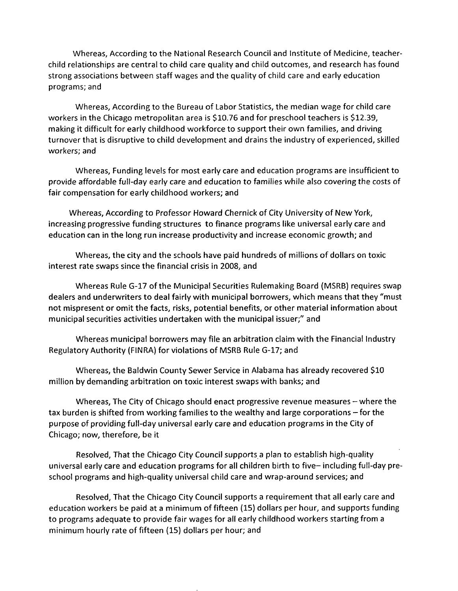Whereas, According to the National Research Council and Institute of Medicine, teacherchild relationships are central to child care quality and child outcomes, and research has found strong associations between staff wages and the quality of child care and early education programs; and

Whereas, According to the Bureau of Labor Statistics, the median wage for child care workers in the Chicago metropolitan area is \$10.76 and for preschool teachers is \$12.39, making it difficult for early childhood workforce to support their own families, and driving turnover that is disruptive to child development and drains the industry of experienced, skilled workers; and

Whereas, Funding levels for most early care and education programs are insufficient to provide affordable full-day early care and education to families while also covering the costs of fair compensation for early childhood workers; and

Whereas, According to Professor Howard Chernick of City University of New York, increasing progressive funding structures to finance programs like universal early care and education can in the long run increase productivity and increase economic growth; and

Whereas, the city and the schools have paid hundreds of millions of dollars on toxic interest rate swaps since the financial crisis in 2008, and

Whereas Rule G-17 of the Municipal Securities Rulemaking Board (MSRB) requires swap dealers and underwriters to deal fairly with municipal borrowers, which means that they "must not mispresent or omit the facts, risks, potential benefits, or other material information about municipal securities activities undertaken with the municipal issuer;" and

Whereas municipal borrowers may file an arbitration claim with the Financial Industry Regulatory Authority (FINRA) for violations of MSRB Rule G-17; and

Whereas, the Baldwin County Sewer Service in Alabama has already recovered \$10 million by demanding arbitration on toxic interest swaps with banks; and

Whereas, The City of Chicago should enact progressive revenue measures  $-$  where the tax burden is shifted from working families to the wealthy and large corporations – for the purpose of providing full-day universal early care and education programs in the City of Chicago; now, therefore, be it

Resolved, That the Chicago City Council supports a plan to establish high-quality universal early care and education programs for all children birth to five- including full-day preschool programs and high-quality universal child care and wrap-around services; and

Resolved, That the Chicago City Council supports a requirement that all early care and education workers be paid at a minimum of fifteen (15) dollars per hour, and supports funding to programs adequate to provide fair wages for all early childhood workers starting from a minimum hourly rate of fifteen (15) dollars per hour; and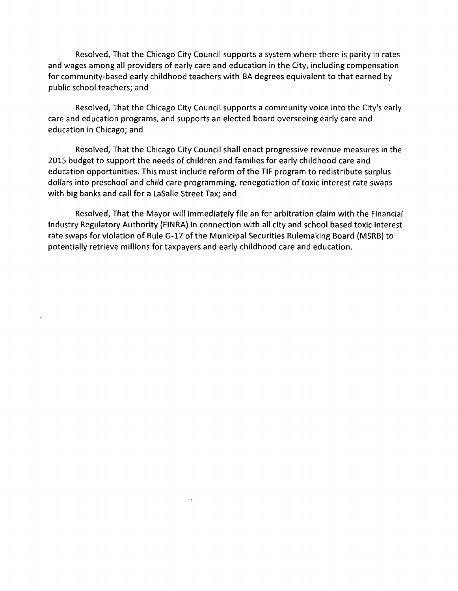Resolved, That the Chicago City Council supports a system where there is parity in rates and wages among all providers of early care and education in the City, including compensation for community-based early childhood teachers with BA degrees equivalent to that earned by public school teachers; and

Resolved, That the Chicago City Council supports a community voice into the City's early care and education programs, and supports an elected board overseeing early care and education in Chicago; and

Resolved, That the Chicago City Council shall enact progressive revenue measures in the 2015 budget to support the needs of children and families for early childhood care and education opportunities. This must include reform ofthe TIF program to redistribute surplus dollars into preschool and child care programming, renegotiation of toxic interest rate swaps with big banks and call for a LaSalle Street Tax; and

Resolved, That the Mayor will immediately file an for arbitration claim with the Financial Industry Regulatory Authority (FINRA) in connection with all city and school based toxic interest rate swaps for violation of Rule G-17 of the Municipal Securities Rulemaking Board (MSRB) to potentially retrieve millions for taxpayers and early childhood care and education.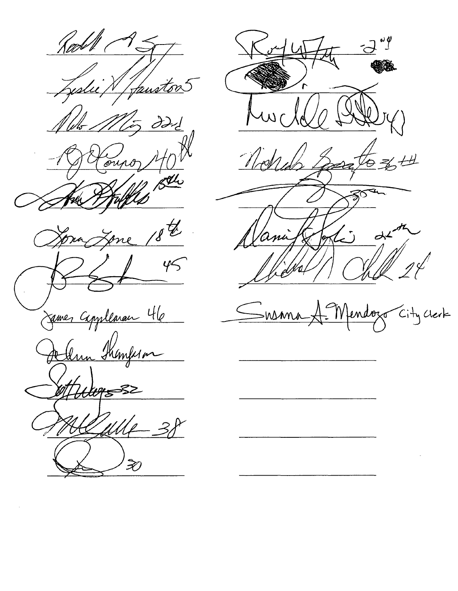Had W Jeslie X Janston 1 /d<br>Whs .  $\partial \partial z$ Houro, 40  $18^{\mathrm{t}}$ Zone Spra  $26145$ /<br>James Capplenan 46 Jellen Shanferon ">, Liges y<br>fflle 3,  $\hat{\mathcal{X}}$ 



Susma A-Mendozo City Crerk